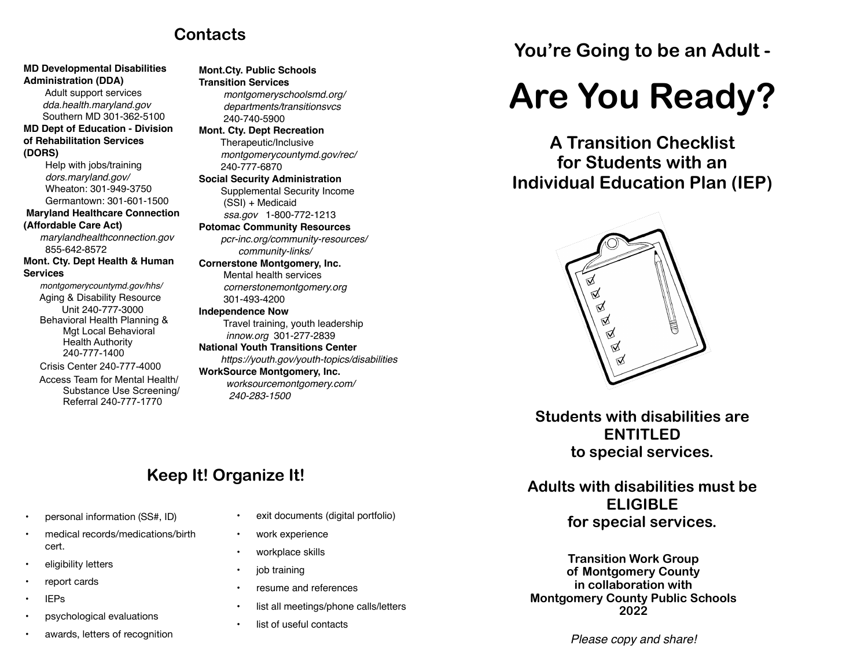### **Contacts**

**Mont.Cty. Public Schools**

#### **MD Developmental Disabilities Administration (DDA)**

 Adult support services *dda.health.maryland.gov* Southern MD 301-362-5100 **MD Dept of Education - Division of Rehabilitation Services (DORS)**

 Help with jobs/training *[dors.maryland.gov/](http://dors.maryland.gov/)* Wheaton: 301-949-3750 Germantown: 301-601-1500 **Maryland Healthcare Connection (Affordable Care Act)** *[marylandhealthconnection.gov](http://marylandhealthconnection.gov)* 855-642-8572 **Mont. Cty. Dept Health & Human Services**

*montgomerycountymd.gov/hhs/* Aging & Disability Resource Unit 240-777-3000 Behavioral Health Planning & Mgt Local Behavioral Health Authority 240-777-1400

 Crisis Center 240-777-4000 Access Team for Mental Health/ Substance Use Screening/ Referral 240-777-1770

#### **Transition Services**  *[montgomeryschoolsmd.org/](http://montgomeryschoolsmd.org/) departments/transitionsvcs* 240-740-5900 **Mont. Cty. Dept Recreation** Therapeutic/Inclusive *[montgomerycountymd.gov/rec/](http://montgomerycountymd.gov/rec/)* 240-777-6870 **Social Security Administration** Supplemental Security Income (SSI) + Medicaid *[ssa.gov](http://ssa.gov)* 1-800-772-1213 **Potomac Community Resources**  *[pcr-inc.org/community-resources/](http://pcr-inc.org/community-resources/)  community-links/* **Cornerstone Montgomery, Inc.** Mental health services *[cornerstonemontgomery.org](http://cornerstonemontgomery.org)* 301-493-4200 **Independence Now** Travel training, youth leadership  *[innow.org](http://innow.org)* 301-277-2839 **National Youth Transitions Center**

 *https://youth.gov/youth-topics/disabilities* **WorkSource Montgomery, Inc.** *[worksourcemontgomery.com/](http://worksourcemontgomery.com/)* *240-283-1500* 

# **You're Going to be an Adult -**

# **Are You Ready?**

**A Transition Checklist for Students with an Individual Education Plan (IEP)**



**Students with disabilities are ENTITLED to special services.**

**Adults with disabilities must be ELIGIBLE for special services.**

**Transition Work Group of Montgomery County in collaboration with Montgomery County Public Schools 2022**

#### *Please copy and share!*

## **Keep It! Organize It!**

- personal information (SS#, ID)
- medical records/medications/birth cert.
- eligibility letters
- report cards
- IEPs
- psychological evaluations
- awards, letters of recognition
- exit documents (digital portfolio)
- work experience
- workplace skills
- job training
- resume and references
- list all meetings/phone calls/letters
- list of useful contacts